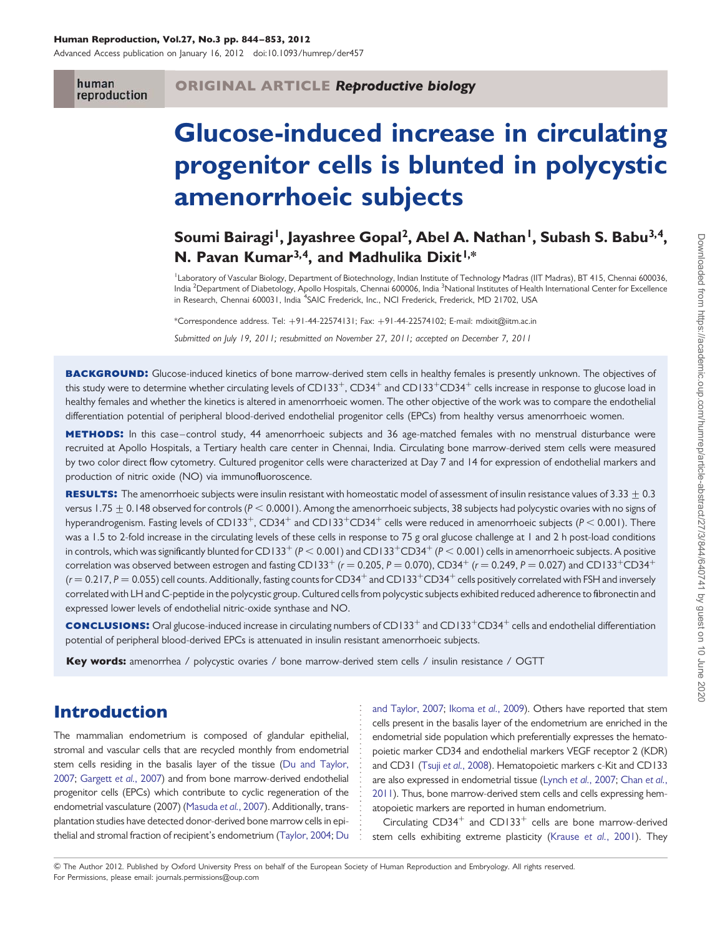#### Human Reproduction, Vol.27, No.3 pp. 844–853, 2012

Advanced Access publication on January 16, 2012 doi:10.1093/humrep/der457

human reproduction

# Glucose-induced increase in circulating progenitor cells is blunted in polycystic amenorrhoeic subjects

# Soumi Bairagi<sup>1</sup>, Jayashree Gopal<sup>2</sup>, Abel A. Nathan<sup>1</sup>, Subash S. Babu<sup>3,4</sup>, N. Pavan Kumar<sup>3,4</sup>, and Madhulika Dixit<sup>1,\*</sup>

<sup>1</sup>Laboratory of Vascular Biology, Department of Biotechnology, Indian Institute of Technology Madras (IIT Madras), BT 415, Chennai 600036, India <sup>2</sup>Department of Diabetology, Apollo Hospitals, Chennai 600006, India <sup>3</sup>National Institutes of Health International Center for Excellence in Research, Chennai 600031, India <sup>4</sup>SAIC Frederick, Inc., NCI Frederick, Frederick, MD 21702, USA

\*Correspondence address. Tel: +91-44-22574131; Fax: +91-44-22574102; E-mail: mdixit@iitm.ac.in

Submitted on July 19, 2011; resubmitted on November 27, 2011; accepted on December 7, 2011

**BACKGROUND:** Glucose-induced kinetics of bone marrow-derived stem cells in healthy females is presently unknown. The objectives of this study were to determine whether circulating levels of CD133<sup>+</sup>, CD34<sup>+</sup> and CD133<sup>+</sup>CD34<sup>+</sup> cells increase in response to glucose load in healthy females and whether the kinetics is altered in amenorrhoeic women. The other objective of the work was to compare the endothelial differentiation potential of peripheral blood-derived endothelial progenitor cells (EPCs) from healthy versus amenorrhoeic women.

METHODS: In this case–control study, 44 amenorrhoeic subjects and 36 age-matched females with no menstrual disturbance were recruited at Apollo Hospitals, a Tertiary health care center in Chennai, India. Circulating bone marrow-derived stem cells were measured by two color direct flow cytometry. Cultured progenitor cells were characterized at Day 7 and 14 for expression of endothelial markers and production of nitric oxide (NO) via immunofluoroscence.

**RESULTS:** The amenorrhoeic subjects were insulin resistant with homeostatic model of assessment of insulin resistance values of  $3.33 \pm 0.3$ versus 1.75 + 0.148 observed for controls ( $P < 0.0001$ ). Among the amenorrhoeic subjects, 38 subjects had polycystic ovaries with no signs of hyperandrogenism. Fasting levels of CD133<sup>+</sup>, CD34<sup>+</sup> and CD133<sup>+</sup>CD34<sup>+</sup> cells were reduced in amenorrhoeic subjects ( $P < 0.001$ ). There was a 1.5 to 2-fold increase in the circulating levels of these cells in response to 75 g oral glucose challenge at 1 and 2 h post-load conditions in controls, which was significantly blunted for CD133<sup>+</sup> (P < 0.001) and CD133<sup>+</sup> CD34<sup>+</sup> (P < 0.001) cells in amenorrhoeic subjects. A positive correlation was observed between estrogen and fasting CD133<sup>+</sup> (r = 0.205, P = 0.070), CD34<sup>+</sup> (r = 0.249, P = 0.027) and CD133<sup>+</sup>CD34<sup>+</sup>  $(r = 0.217, P = 0.055)$  cell counts. Additionally, fasting counts for CD34<sup>+</sup> and CD133<sup>+</sup>CD34<sup>+</sup> cells positively correlated with FSH and inversely correlated with LH and C-peptide in the polycystic group. Cultured cells from polycystic subjects exhibited reduced adherence to fibronectin and expressed lower levels of endothelial nitric-oxide synthase and NO.

**CONCLUSIONS:** Oral glucose-induced increase in circulating numbers of CD133<sup>+</sup> and CD133<sup>+</sup>CD34<sup>+</sup> cells and endothelial differentiation potential of peripheral blood-derived EPCs is attenuated in insulin resistant amenorrhoeic subjects.

Key words: amenorrhea / polycystic ovaries / bone marrow-derived stem cells / insulin resistance / OGTT

# Introduction

The mammalian endometrium is composed of glandular epithelial, stromal and vascular cells that are recycled monthly from endometrial stem cells residing in the basalis layer of the tissue [\(Du and Taylor,](#page-8-0) [2007;](#page-8-0) [Gargett](#page-8-0) et al., 2007) and from bone marrow-derived endothelial progenitor cells (EPCs) which contribute to cyclic regeneration of the endometrial vasculature (2007) [\(Masuda](#page-8-0) et al., 2007). Additionally, transplantation studies have detected donor-derived bone marrow cells in epithelial and stromal fraction of recipient's endometrium [\(Taylor, 2004;](#page-9-0) [Du](#page-8-0) [and Taylor, 2007;](#page-8-0) Ikoma et al.[, 2009](#page-8-0)). Others have reported that stem cells present in the basalis layer of the endometrium are enriched in the endometrial side population which preferentially expresses the hematopoietic marker CD34 and endothelial markers VEGF receptor 2 (KDR) and CD31 (Tsuji et al.[, 2008\)](#page-9-0). Hematopoietic markers c-Kit and CD133 are also expressed in endometrial tissue (Lynch et al.[, 2007](#page-8-0); [Chan](#page-7-0) et al., [2011](#page-7-0)). Thus, bone marrow-derived stem cells and cells expressing hematopoietic markers are reported in human endometrium.

Circulating  $CD34^+$  and  $CD133^+$  cells are bone marrow-derived stem cells exhibiting extreme plasticity [\(Krause](#page-8-0) et al., 2001). They

& The Author 2012. Published by Oxford University Press on behalf of the European Society of Human Reproduction and Embryology. All rights reserved. For Permissions, please email: journals.permissions@oup.com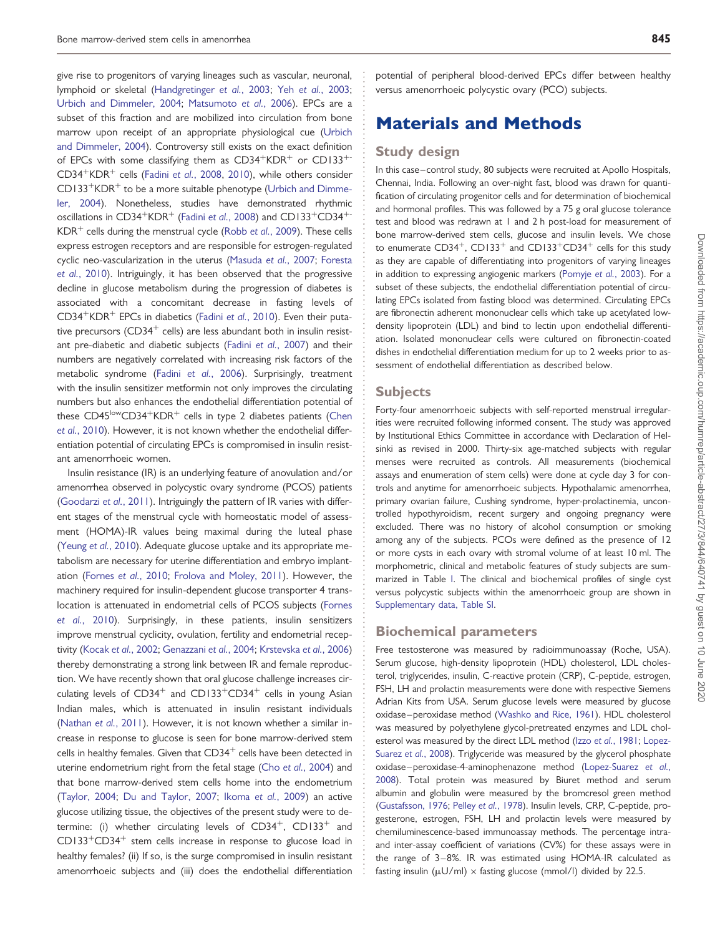give rise to progenitors of varying lineages such as vascular, neuronal, lymphoid or skeletal ([Handgretinger](#page-8-0) et al., 2003; Yeh et al.[, 2003](#page-9-0); [Urbich and Dimmeler, 2004](#page-9-0); [Matsumoto](#page-8-0) et al., 2006). EPCs are a subset of this fraction and are mobilized into circulation from bone marrow upon receipt of an appropriate physiological cue ([Urbich](#page-9-0) [and Dimmeler, 2004](#page-9-0)). Controversy still exists on the exact definition of EPCs with some classifying them as  $CD34+KDR+$  or  $CD133+$ CD34+KDR+ cells (Fadini et al.[, 2008](#page-8-0), [2010\)](#page-8-0), while others consider  $CD133+KDR+$  to be a more suitable phenotype [\(Urbich and Dimme](#page-9-0)[ler, 2004](#page-9-0)). Nonetheless, studies have demonstrated rhythmic oscillations in CD34<sup>+</sup>KDR<sup>+</sup> (Fadini et al.[, 2008\)](#page-8-0) and CD133<sup>+</sup>CD34<sup>+-</sup>  $KDR<sup>+</sup>$  cells during the menstrual cycle (Robb et al.[, 2009\)](#page-9-0). These cells express estrogen receptors and are responsible for estrogen-regulated cyclic neo-vascularization in the uterus [\(Masuda](#page-8-0) et al., 2007; [Foresta](#page-8-0) et al.[, 2010](#page-8-0)). Intriguingly, it has been observed that the progressive decline in glucose metabolism during the progression of diabetes is associated with a concomitant decrease in fasting levels of CD34<sup>+</sup>KDR<sup>+</sup> EPCs in diabetics (Fadini et al.[, 2010\)](#page-8-0). Even their putative precursors (CD34<sup>+</sup> cells) are less abundant both in insulin resistant pre-diabetic and diabetic subjects (Fadini et al.[, 2007](#page-8-0)) and their numbers are negatively correlated with increasing risk factors of the metabolic syndrome (Fadini et al.[, 2006](#page-8-0)). Surprisingly, treatment with the insulin sensitizer metformin not only improves the circulating numbers but also enhances the endothelial differentiation potential of these  $CD45^{\text{low}}CD34^{\text{+}}KDR^+$  cells in type 2 diabetes patients [\(Chen](#page-7-0) et al.[, 2010\)](#page-7-0). However, it is not known whether the endothelial differentiation potential of circulating EPCs is compromised in insulin resistant amenorrhoeic women.

Insulin resistance (IR) is an underlying feature of anovulation and/or amenorrhea observed in polycystic ovary syndrome (PCOS) patients [\(Goodarzi](#page-8-0) et al., 2011). Intriguingly the pattern of IR varies with different stages of the menstrual cycle with homeostatic model of assessment (HOMA)-IR values being maximal during the luteal phase (Yeung et al.[, 2010\)](#page-9-0). Adequate glucose uptake and its appropriate metabolism are necessary for uterine differentiation and embryo implantation [\(Fornes](#page-8-0) et al., 2010; [Frolova and Moley, 2011\)](#page-8-0). However, the machinery required for insulin-dependent glucose transporter 4 translocation is attenuated in endometrial cells of PCOS subjects ([Fornes](#page-8-0) et al.[, 2010](#page-8-0)). Surprisingly, in these patients, insulin sensitizers improve menstrual cyclicity, ovulation, fertility and endometrial receptivity [\(Kocak](#page-8-0) et al., 2002; [Genazzani](#page-8-0) et al., 2004; [Krstevska](#page-8-0) et al., 2006) thereby demonstrating a strong link between IR and female reproduction. We have recently shown that oral glucose challenge increases circulating levels of  $CD34^+$  and  $CD133^+CD34^+$  cells in young Asian Indian males, which is attenuated in insulin resistant individuals [\(Nathan](#page-9-0) et al., 2011). However, it is not known whether a similar increase in response to glucose is seen for bone marrow-derived stem cells in healthy females. Given that  $CD34<sup>+</sup>$  cells have been detected in uterine endometrium right from the fetal stage (Cho et al.[, 2004](#page-7-0)) and that bone marrow-derived stem cells home into the endometrium [\(Taylor, 2004](#page-9-0); [Du and Taylor, 2007](#page-8-0); Ikoma et al.[, 2009](#page-8-0)) an active glucose utilizing tissue, the objectives of the present study were to determine: (i) whether circulating levels of  $CD34^+$ ,  $CD133^+$  and CD133+CD34+ stem cells increase in response to glucose load in healthy females? (ii) If so, is the surge compromised in insulin resistant amenorrhoeic subjects and (iii) does the endothelial differentiation potential of peripheral blood-derived EPCs differ between healthy versus amenorrhoeic polycystic ovary (PCO) subjects.

# Materials and Methods

#### Study design

In this case –control study, 80 subjects were recruited at Apollo Hospitals, Chennai, India. Following an over-night fast, blood was drawn for quantification of circulating progenitor cells and for determination of biochemical and hormonal profiles. This was followed by a 75 g oral glucose tolerance test and blood was redrawn at 1 and 2 h post-load for measurement of bone marrow-derived stem cells, glucose and insulin levels. We chose to enumerate  $CD34^+$ ,  $CD133^+$  and  $CD133^+CD34^+$  cells for this study as they are capable of differentiating into progenitors of varying lineages in addition to expressing angiogenic markers [\(Pomyje](#page-9-0) et al., 2003). For a subset of these subjects, the endothelial differentiation potential of circulating EPCs isolated from fasting blood was determined. Circulating EPCs are fibronectin adherent mononuclear cells which take up acetylated lowdensity lipoprotein (LDL) and bind to lectin upon endothelial differentiation. Isolated mononuclear cells were cultured on fibronectin-coated dishes in endothelial differentiation medium for up to 2 weeks prior to assessment of endothelial differentiation as described below.

#### **Subjects**

Forty-four amenorrhoeic subjects with self-reported menstrual irregularities were recruited following informed consent. The study was approved by Institutional Ethics Committee in accordance with Declaration of Helsinki as revised in 2000. Thirty-six age-matched subjects with regular menses were recruited as controls. All measurements (biochemical assays and enumeration of stem cells) were done at cycle day 3 for controls and anytime for amenorrhoeic subjects. Hypothalamic amenorrhea, primary ovarian failure, Cushing syndrome, hyper-prolactinemia, uncontrolled hypothyroidism, recent surgery and ongoing pregnancy were excluded. There was no history of alcohol consumption or smoking among any of the subjects. PCOs were defined as the presence of 12 or more cysts in each ovary with stromal volume of at least 10 ml. The morphometric, clinical and metabolic features of study subjects are summarized in Table [I.](#page-2-0) The clinical and biochemical profiles of single cyst versus polycystic subjects within the amenorrhoeic group are shown in [Supplementary data, Table SI](http://humrep.oxfordjournals.org/lookup/suppl/doi:10.1093/humrep/der457/-/DC1).

#### Biochemical parameters

Free testosterone was measured by radioimmunoassay (Roche, USA). Serum glucose, high-density lipoprotein (HDL) cholesterol, LDL cholesterol, triglycerides, insulin, C-reactive protein (CRP), C-peptide, estrogen, FSH, LH and prolactin measurements were done with respective Siemens Adrian Kits from USA. Serum glucose levels were measured by glucose oxidase –peroxidase method ([Washko and Rice, 1961\)](#page-9-0). HDL cholesterol was measured by polyethylene glycol-pretreated enzymes and LDL chol-esterol was measured by the direct LDL method (Izzo et al.[, 1981](#page-8-0); [Lopez-](#page-8-0)[Suarez](#page-8-0) et al., 2008). Triglyceride was measured by the glycerol phosphate oxidase –peroxidase-4-aminophenazone method [\(Lopez-Suarez](#page-8-0) et al., [2008](#page-8-0)). Total protein was measured by Biuret method and serum albumin and globulin were measured by the bromcresol green method [\(Gustafsson, 1976](#page-8-0); Pelley et al.[, 1978\)](#page-9-0). Insulin levels, CRP, C-peptide, progesterone, estrogen, FSH, LH and prolactin levels were measured by chemiluminescence-based immunoassay methods. The percentage intraand inter-assay coefficient of variations (CV%) for these assays were in the range of 3-8%. IR was estimated using HOMA-IR calculated as fasting insulin ( $\mu$ U/ml)  $\times$  fasting glucose (mmol/l) divided by 22.5.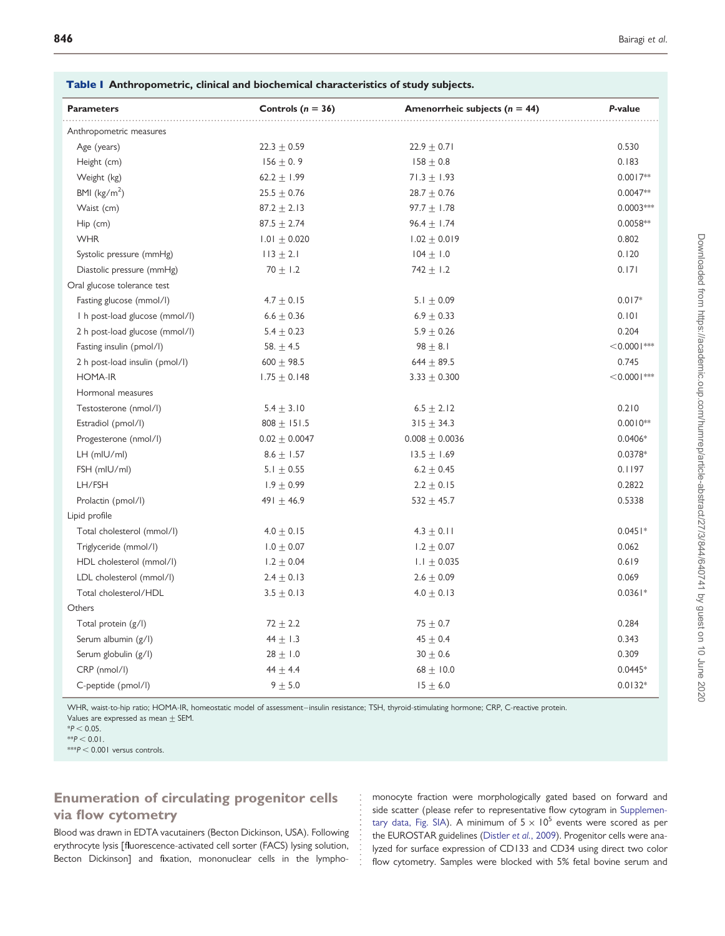#### <span id="page-2-0"></span>Table I Anthropometric, clinical and biochemical characteristics of study subjects.

| <b>Parameters</b>              | Controls ( $n = 36$ ) | Amenorrheic subjects ( $n = 44$ ) | P-value         |
|--------------------------------|-----------------------|-----------------------------------|-----------------|
| Anthropometric measures        |                       |                                   |                 |
| Age (years)                    | $22.3 \pm 0.59$       | $22.9 \pm 0.71$                   | 0.530           |
| Height (cm)                    | $156 \pm 0.9$         | $158 + 0.8$                       | 0.183           |
| Weight (kg)                    | 62.2 $\pm$ 1.99       | $71.3 \pm 1.93$                   | $0.0017**$      |
| BMI ( $kg/m2$ )                | $25.5 \pm 0.76$       | $28.7 \pm 0.76$                   | $0.0047**$      |
| Waist (cm)                     | $87.2 \pm 2.13$       | $97.7 \pm 1.78$                   | $0.0003***$     |
| Hip (cm)                       | $87.5 \pm 2.74$       | $96.4 \pm 1.74$                   | 0.0058 **       |
| <b>WHR</b>                     | $1.01 \pm 0.020$      | $1.02 + 0.019$                    | 0.802           |
| Systolic pressure (mmHg)       | $113 \pm 2.1$         | $104 \pm 1.0$                     | 0.120           |
| Diastolic pressure (mmHg)      | $70 \pm 1.2$          | $742 \pm 1.2$                     | 0.171           |
| Oral glucose tolerance test    |                       |                                   |                 |
| Fasting glucose (mmol/l)       | $4.7 \pm 0.15$        | 5.1 $\pm$ 0.09                    | $0.017*$        |
| I h post-load glucose (mmol/l) | $6.6 \pm 0.36$        | $6.9 \pm 0.33$                    | 0.101           |
| 2 h post-load glucose (mmol/l) | $5.4 \pm 0.23$        | $5.9 \pm 0.26$                    | 0.204           |
| Fasting insulin (pmol/l)       | 58. $\pm$ 4.5         | $98 \pm 8.1$                      | $<$ 0.000 l *** |
| 2 h post-load insulin (pmol/l) | $600 + 98.5$          | $644 + 89.5$                      | 0.745           |
| <b>HOMA-IR</b>                 | $1.75 + 0.148$        | $3.33 + 0.300$                    | $<$ 0.000   *** |
| Hormonal measures              |                       |                                   |                 |
| Testosterone (nmol/l)          | $5.4 \pm 3.10$        | $6.5 \pm 2.12$                    | 0.210           |
| Estradiol (pmol/l)             | $808 \pm 151.5$       | $315 \pm 34.3$                    | $0.0010**$      |
| Progesterone (nmol/l)          | $0.02 \pm 0.0047$     | $0.008 \pm 0.0036$                | 0.0406*         |
| $LH$ (mlU/ml)                  | $8.6 \pm 1.57$        | $13.5 \pm 1.69$                   | 0.0378*         |
| FSH (mIU/ml)                   | 5.1 $\pm$ 0.55        | $6.2 \pm 0.45$                    | 0.1197          |
| LH/FSH                         | $1.9 + 0.99$          | $2.2 \pm 0.15$                    | 0.2822          |
| Prolactin (pmol/l)             | 491 $\pm$ 46.9        | 532 $\pm$ 45.7                    | 0.5338          |
| Lipid profile                  |                       |                                   |                 |
| Total cholesterol (mmol/l)     | $4.0 \pm 0.15$        | $4.3 \pm 0.11$                    | $0.0451*$       |
| Triglyceride (mmol/l)          | $1.0 \pm 0.07$        | $1.2 \pm 0.07$                    | 0.062           |
| HDL cholesterol (mmol/l)       | $1.2 \pm 0.04$        | $1.1 \pm 0.035$                   | 0.619           |
| LDL cholesterol (mmol/l)       | $2.4 \pm 0.13$        | $2.6 \pm 0.09$                    | 0.069           |
| Total cholesterol/HDL          | $3.5 \pm 0.13$        | $4.0 \pm 0.13$                    | $0.0361*$       |
| Others                         |                       |                                   |                 |
| Total protein (g/l)            | $72 \pm 2.2$          | $75 \pm 0.7$                      | 0.284           |
| Serum albumin (g/l)            | $44 \pm 1.3$          | $45 + 0.4$                        | 0.343           |
| Serum globulin (g/l)           | $28 \pm 1.0$          | $30 \pm 0.6$                      | 0.309           |
| CRP (nmol/l)                   | $44 \pm 4.4$          | $68 \pm 10.0$                     | $0.0445*$       |
| C-peptide (pmol/l)             | $9 + 5.0$             | $15 \pm 6.0$                      | $0.0132*$       |

WHR, waist-to-hip ratio; HOMA-IR, homeostatic model of assessment-insulin resistance; TSH, thyroid-stimulating hormone; CRP, C-reactive protein. Values are expressed as mean  $\pm$  SEM.

 $*P < 0.05$ .

 $*$  $P$  < 0.01.

 $***P < 0.001$  versus controls.

## Enumeration of circulating progenitor cells via flow cytometry

Blood was drawn in EDTA vacutainers (Becton Dickinson, USA). Following erythrocyte lysis [fluorescence-activated cell sorter (FACS) lysing solution, Becton Dickinson] and fixation, mononuclear cells in the lymphomonocyte fraction were morphologically gated based on forward and side scatter (please refer to representative flow cytogram in [Supplemen](http://humrep.oxfordjournals.org/lookup/suppl/doi:10.1093/humrep/der457/-/DC1)[tary data, Fig. SIA](http://humrep.oxfordjournals.org/lookup/suppl/doi:10.1093/humrep/der457/-/DC1)). A minimum of  $5 \times 10^5$  events were scored as per the EUROSTAR guidelines [\(Distler](#page-8-0) et al., 2009). Progenitor cells were analyzed for surface expression of CD133 and CD34 using direct two color flow cytometry. Samples were blocked with 5% fetal bovine serum and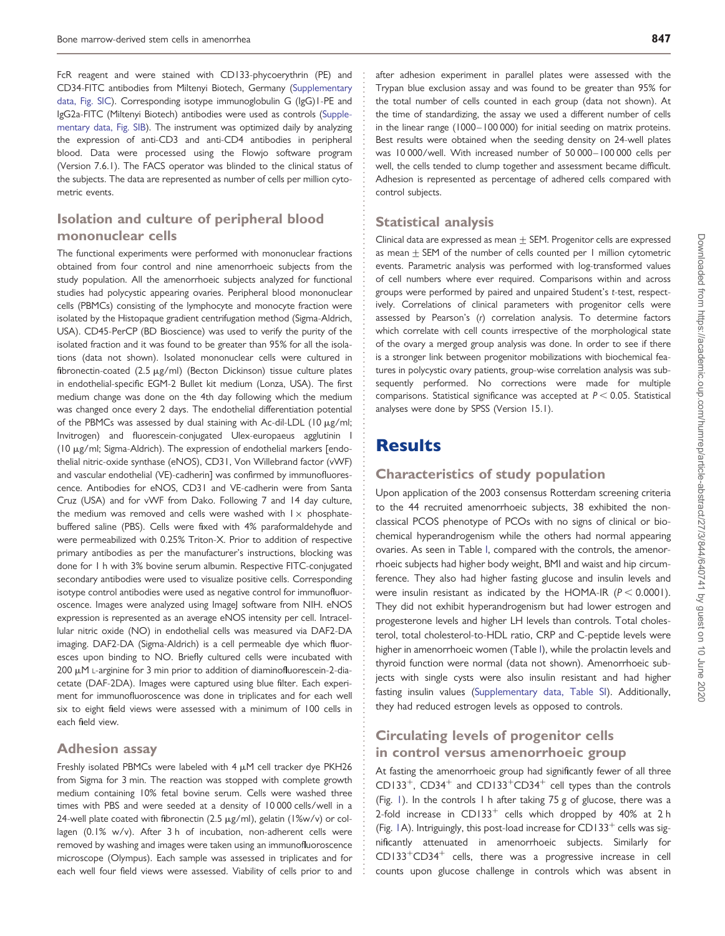FcR reagent and were stained with CD133-phycoerythrin (PE) and CD34-FITC antibodies from Miltenyi Biotech, Germany [\(Supplementary](http://humrep.oxfordjournals.org/lookup/suppl/doi:10.1093/humrep/der457/-/DC1) [data, Fig. SIC\)](http://humrep.oxfordjournals.org/lookup/suppl/doi:10.1093/humrep/der457/-/DC1). Corresponding isotype immunoglobulin G (IgG)1-PE and IgG2a-FITC (Miltenyi Biotech) antibodies were used as controls ([Supple](http://humrep.oxfordjournals.org/lookup/suppl/doi:10.1093/humrep/der457/-/DC1)[mentary data, Fig. SIB](http://humrep.oxfordjournals.org/lookup/suppl/doi:10.1093/humrep/der457/-/DC1)). The instrument was optimized daily by analyzing the expression of anti-CD3 and anti-CD4 antibodies in peripheral blood. Data were processed using the Flowjo software program (Version 7.6.1). The FACS operator was blinded to the clinical status of the subjects. The data are represented as number of cells per million cytometric events.

## Isolation and culture of peripheral blood mononuclear cells

The functional experiments were performed with mononuclear fractions obtained from four control and nine amenorrhoeic subjects from the study population. All the amenorrhoeic subjects analyzed for functional studies had polycystic appearing ovaries. Peripheral blood mononuclear cells (PBMCs) consisting of the lymphocyte and monocyte fraction were isolated by the Histopaque gradient centrifugation method (Sigma-Aldrich, USA). CD45-PerCP (BD Bioscience) was used to verify the purity of the isolated fraction and it was found to be greater than 95% for all the isolations (data not shown). Isolated mononuclear cells were cultured in fibronectin-coated  $(2.5 \mu g/ml)$  (Becton Dickinson) tissue culture plates in endothelial-specific EGM-2 Bullet kit medium (Lonza, USA). The first medium change was done on the 4th day following which the medium was changed once every 2 days. The endothelial differentiation potential of the PBMCs was assessed by dual staining with Ac-dil-LDL (10  $\mu$ g/ml; Invitrogen) and fluorescein-conjugated Ulex-europaeus agglutinin I (10  $\mu$ g/ml; Sigma-Aldrich). The expression of endothelial markers [endothelial nitric-oxide synthase (eNOS), CD31, Von Willebrand factor (vWF) and vascular endothelial (VE)-cadherin] was confirmed by immunofluorescence. Antibodies for eNOS, CD31 and VE-cadherin were from Santa Cruz (USA) and for vWF from Dako. Following 7 and 14 day culture, the medium was removed and cells were washed with  $1 \times$  phosphatebuffered saline (PBS). Cells were fixed with 4% paraformaldehyde and were permeabilized with 0.25% Triton-X. Prior to addition of respective primary antibodies as per the manufacturer's instructions, blocking was done for 1 h with 3% bovine serum albumin. Respective FITC-conjugated secondary antibodies were used to visualize positive cells. Corresponding isotype control antibodies were used as negative control for immunofluoroscence. Images were analyzed using ImageJ software from NIH. eNOS expression is represented as an average eNOS intensity per cell. Intracellular nitric oxide (NO) in endothelial cells was measured via DAF2-DA imaging. DAF2-DA (Sigma-Aldrich) is a cell permeable dye which fluoresces upon binding to NO. Briefly cultured cells were incubated with  $200 \mu$ M L-arginine for 3 min prior to addition of diaminofluorescein-2-diacetate (DAF-2DA). Images were captured using blue filter. Each experiment for immunofluoroscence was done in triplicates and for each well six to eight field views were assessed with a minimum of 100 cells in each field view.

#### Adhesion assay

Freshly isolated PBMCs were labeled with  $4 \mu$ M cell tracker dye PKH26 from Sigma for 3 min. The reaction was stopped with complete growth medium containing 10% fetal bovine serum. Cells were washed three times with PBS and were seeded at a density of 10 000 cells/well in a 24-well plate coated with fibronectin (2.5  $\mu$ g/ml), gelatin (1%w/v) or collagen (0.1% w/v). After 3 h of incubation, non-adherent cells were removed by washing and images were taken using an immunofluoroscence microscope (Olympus). Each sample was assessed in triplicates and for each well four field views were assessed. Viability of cells prior to and

after adhesion experiment in parallel plates were assessed with the Trypan blue exclusion assay and was found to be greater than 95% for the total number of cells counted in each group (data not shown). At the time of standardizing, the assay we used a different number of cells in the linear range (1000– 100 000) for initial seeding on matrix proteins. Best results were obtained when the seeding density on 24-well plates was 10 000/well. With increased number of 50 000– 100 000 cells per well, the cells tended to clump together and assessment became difficult. Adhesion is represented as percentage of adhered cells compared with control subjects.

### Statistical analysis

Clinical data are expressed as mean  $\pm$  SEM. Progenitor cells are expressed as mean  $\pm$  SEM of the number of cells counted per 1 million cytometric events. Parametric analysis was performed with log-transformed values of cell numbers where ever required. Comparisons within and across groups were performed by paired and unpaired Student's t-test, respectively. Correlations of clinical parameters with progenitor cells were assessed by Pearson's (r) correlation analysis. To determine factors which correlate with cell counts irrespective of the morphological state of the ovary a merged group analysis was done. In order to see if there is a stronger link between progenitor mobilizations with biochemical features in polycystic ovary patients, group-wise correlation analysis was subsequently performed. No corrections were made for multiple comparisons. Statistical significance was accepted at  $P < 0.05$ . Statistical analyses were done by SPSS (Version 15.1).

## **Results**

#### Characteristics of study population

Upon application of the 2003 consensus Rotterdam screening criteria to the 44 recruited amenorrhoeic subjects, 38 exhibited the nonclassical PCOS phenotype of PCOs with no signs of clinical or biochemical hyperandrogenism while the others had normal appearing ovaries. As seen in Table [I](#page-2-0), compared with the controls, the amenorrhoeic subjects had higher body weight, BMI and waist and hip circumference. They also had higher fasting glucose and insulin levels and were insulin resistant as indicated by the HOMA-IR  $(P < 0.0001)$ . They did not exhibit hyperandrogenism but had lower estrogen and progesterone levels and higher LH levels than controls. Total cholesterol, total cholesterol-to-HDL ratio, CRP and C-peptide levels were higher in amenorrhoeic women (Table [I\)](#page-2-0), while the prolactin levels and thyroid function were normal (data not shown). Amenorrhoeic subjects with single cysts were also insulin resistant and had higher fasting insulin values [\(Supplementary data, Table SI\)](http://humrep.oxfordjournals.org/lookup/suppl/doi:10.1093/humrep/der457/-/DC1). Additionally, they had reduced estrogen levels as opposed to controls.

## Circulating levels of progenitor cells in control versus amenorrhoeic group

At fasting the amenorrhoeic group had significantly fewer of all three CD133<sup>+</sup>, CD34<sup>+</sup> and CD133<sup>+</sup>CD34<sup>+</sup> cell types than the controls (Fig. [1\)](#page-4-0). In the controls 1 h after taking 75 g of glucose, there was a 2-fold increase in CD133<sup>+</sup> cells which dropped by 40% at 2 h (Fig. [1A](#page-4-0)). Intriguingly, this post-load increase for CD133<sup>+</sup> cells was significantly attenuated in amenorrhoeic subjects. Similarly for CD133+CD34+ cells, there was a progressive increase in cell counts upon glucose challenge in controls which was absent in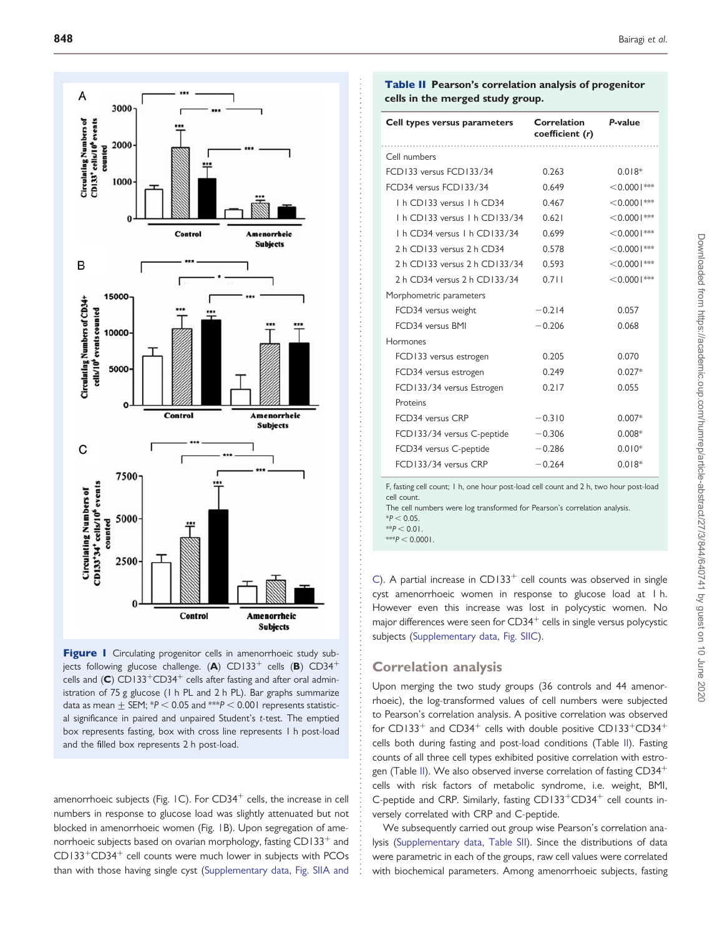<span id="page-4-0"></span>

Figure I Circulating progenitor cells in amenorrhoeic study subjects following glucose challenge. (A) CD133<sup>+</sup> cells (B) CD34<sup>+</sup> cells and  $(C)$  CD133<sup>+</sup>CD34<sup>+</sup> cells after fasting and after oral administration of 75 g glucose (1 h PL and 2 h PL). Bar graphs summarize data as mean  $\pm$  SEM; \*P < 0.05 and \*\*\*P < 0.001 represents statistical significance in paired and unpaired Student's t-test. The emptied box represents fasting, box with cross line represents 1 h post-load and the filled box represents 2 h post-load.

amenorrhoeic subjects (Fig.  $IC$ ). For  $CD34<sup>+</sup>$  cells, the increase in cell numbers in response to glucose load was slightly attenuated but not blocked in amenorrhoeic women (Fig. 1B). Upon segregation of amenorrhoeic subjects based on ovarian morphology, fasting  $CD133^+$  and  $CD133^+CD34^+$  cell counts were much lower in subjects with PCOs than with those having single cyst ([Supplementary data, Fig. SIIA and](http://humrep.oxfordjournals.org/lookup/suppl/doi:10.1093/humrep/der457/-/DC1)

Table II Pearson's correlation analysis of progenitor cells in the merged study group.

| Cell types versus parameters Correlation | coefficient (r) | P-value        |  |
|------------------------------------------|-----------------|----------------|--|
| Cell numbers                             |                 |                |  |
| FCD133 versus FCD133/34                  | 0.263           | $0.018*$       |  |
| FCD34 versus FCD133/34                   | 0.649           | $<$ 0.000  *** |  |
| I h CD133 versus I h CD34                | 0.467           | $<$ 0.000  *** |  |
| 1 h CD133 versus 1 h CD133/34            | 0.621           | $<$ 0.000  *** |  |
| 1 h CD34 versus 1 h CD133/34             | 0.699           | $<$ 0.000  *** |  |
| 2 h CD133 versus 2 h CD34                | 0.578           | $<$ 0.000  *** |  |
| 2 h CD133 versus 2 h CD133/34            | 0.593           | $<$ 0.000  *** |  |
| 2 h CD34 versus 2 h CD133/34             | 0711            | $<$ 0.000  *** |  |
| Morphometric parameters                  |                 |                |  |
| FCD34 versus weight                      | $-0.214$        | 0.057          |  |
| FCD34 versus BMI                         | $-0.206$        | 0.068          |  |
| Hormones                                 |                 |                |  |
| FCD133 versus estrogen                   | 0.205           | 0.070          |  |
| FCD34 versus estrogen                    | 0.249           | $0.027*$       |  |
| FCD133/34 versus Estrogen                | 0.217           | 0.055          |  |
| Proteins                                 |                 |                |  |
| FCD34 versus CRP                         | $-0.310$        | $0.007*$       |  |
| FCD133/34 versus C-peptide               | $-0.306$        | $0.008*$       |  |
| FCD34 versus C-peptide                   | $-0.286$        | $0.010*$       |  |
| FCD133/34 versus CRP                     | $-0.264$        | $0.018*$       |  |

F, fasting cell count; 1 h, one hour post-load cell count and 2 h, two hour post-load cell count.

The cell numbers were log transformed for Pearson's correlation analysis.  $*P < 0.05$ .

 $*$  $P$  < 0.01

 $***P < 0.0001$ 

[C\)](http://humrep.oxfordjournals.org/lookup/suppl/doi:10.1093/humrep/der457/-/DC1). A partial increase in  $CD133<sup>+</sup>$  cell counts was observed in single cyst amenorrhoeic women in response to glucose load at 1 h. However even this increase was lost in polycystic women. No major differences were seen for  $CD34<sup>+</sup>$  cells in single versus polycystic subjects ([Supplementary data, Fig. SIIC\)](http://humrep.oxfordjournals.org/lookup/suppl/doi:10.1093/humrep/der457/-/DC1).

### Correlation analysis

Upon merging the two study groups (36 controls and 44 amenorrhoeic), the log-transformed values of cell numbers were subjected to Pearson's correlation analysis. A positive correlation was observed for CD133<sup>+</sup> and CD34<sup>+</sup> cells with double positive CD133<sup>+</sup>CD34<sup>+</sup> cells both during fasting and post-load conditions (Table II). Fasting counts of all three cell types exhibited positive correlation with estrogen (Table II). We also observed inverse correlation of fasting  $CD34<sup>+</sup>$ cells with risk factors of metabolic syndrome, i.e. weight, BMI, C-peptide and CRP. Similarly, fasting  $CD133^+CD34^+$  cell counts inversely correlated with CRP and C-peptide.

We subsequently carried out group wise Pearson's correlation analysis [\(Supplementary data, Table SII\)](http://humrep.oxfordjournals.org/lookup/suppl/doi:10.1093/humrep/der457/-/DC1). Since the distributions of data were parametric in each of the groups, raw cell values were correlated with biochemical parameters. Among amenorrhoeic subjects, fasting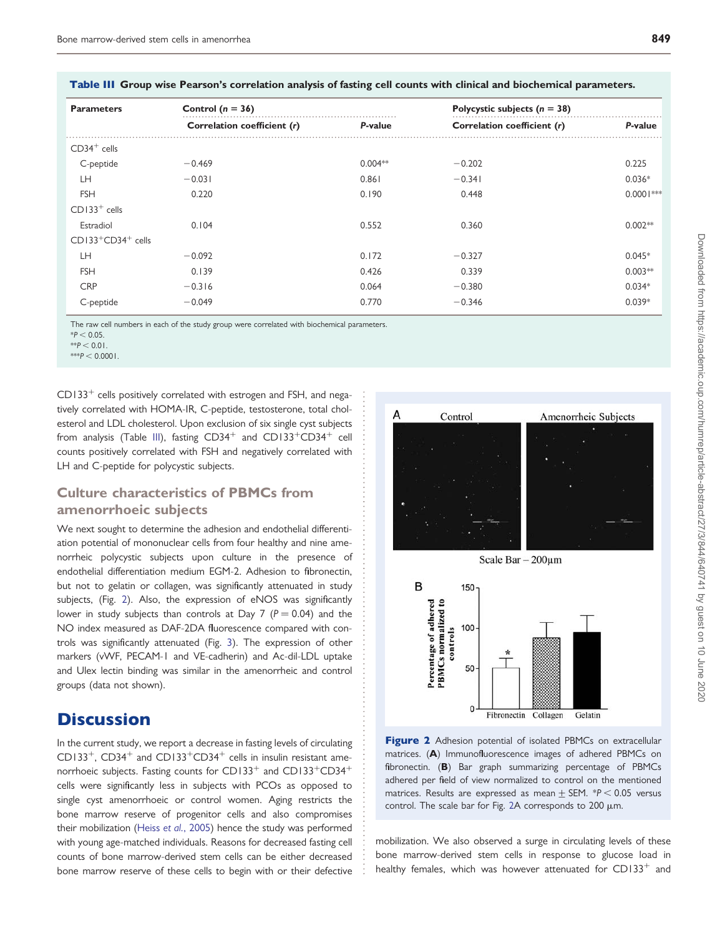| <b>Parameters</b>     | Control ( $n = 36$ )        |           | Polycystic subjects ( $n = 38$ ) |             |  |
|-----------------------|-----------------------------|-----------|----------------------------------|-------------|--|
|                       | Correlation coefficient (r) | P-value   | Correlation coefficient (r)      | P-value     |  |
| $CD34+$ cells         |                             |           |                                  |             |  |
| C-peptide             | $-0.469$                    | $0.004**$ | $-0.202$                         | 0.225       |  |
| LH                    | $-0.031$                    | 0.861     | $-0.341$                         | $0.036*$    |  |
| <b>FSH</b>            | 0.220                       | 0.190     | 0.448                            | $0.0001***$ |  |
| $CD133+$ cells        |                             |           |                                  |             |  |
| Estradiol             | 0.104                       | 0.552     | 0.360                            | $0.002**$   |  |
| $CD133^+CD34^+$ cells |                             |           |                                  |             |  |
| LH                    | $-0.092$                    | 0.172     | $-0.327$                         | $0.045*$    |  |
| <b>FSH</b>            | 0.139                       | 0.426     | 0.339                            | $0.003**$   |  |
| <b>CRP</b>            | $-0.316$                    | 0.064     | $-0.380$                         | $0.034*$    |  |
| C-peptide             | $-0.049$                    | 0.770     | $-0.346$                         | $0.039*$    |  |

|  | Table III Group wise Pearson's correlation analysis of fasting cell counts with clinical and biochemical parameters. |  |  |  |  |
|--|----------------------------------------------------------------------------------------------------------------------|--|--|--|--|
|--|----------------------------------------------------------------------------------------------------------------------|--|--|--|--|

The raw cell numbers in each of the study group were correlated with biochemical parameters.

 $*$  $P$  < 0.01

 $***P < 0.0001$ .

 $CD133<sup>+</sup>$  cells positively correlated with estrogen and FSH, and negatively correlated with HOMA-IR, C-peptide, testosterone, total cholesterol and LDL cholesterol. Upon exclusion of six single cyst subjects from analysis (Table III), fasting  $CD34^+$  and  $CD133^+CD34^+$  cell counts positively correlated with FSH and negatively correlated with LH and C-peptide for polycystic subjects.

## Culture characteristics of PBMCs from amenorrhoeic subjects

We next sought to determine the adhesion and endothelial differentiation potential of mononuclear cells from four healthy and nine amenorrheic polycystic subjects upon culture in the presence of endothelial differentiation medium EGM-2. Adhesion to fibronectin, but not to gelatin or collagen, was significantly attenuated in study subjects, (Fig. 2). Also, the expression of eNOS was significantly lower in study subjects than controls at Day 7 ( $P = 0.04$ ) and the NO index measured as DAF-2DA fluorescence compared with controls was significantly attenuated (Fig. [3](#page-6-0)). The expression of other markers (vWF, PECAM-1 and VE-cadherin) and Ac-dil-LDL uptake and Ulex lectin binding was similar in the amenorrheic and control groups (data not shown).

# **Discussion**

In the current study, we report a decrease in fasting levels of circulating CD133<sup>+</sup>, CD34<sup>+</sup> and CD133<sup>+</sup>CD34<sup>+</sup> cells in insulin resistant amenorrhoeic subjects. Fasting counts for CD133<sup>+</sup> and CD133<sup>+</sup>CD34<sup>+</sup> cells were significantly less in subjects with PCOs as opposed to single cyst amenorrhoeic or control women. Aging restricts the bone marrow reserve of progenitor cells and also compromises their mobilization (Heiss et al.[, 2005\)](#page-8-0) hence the study was performed with young age-matched individuals. Reasons for decreased fasting cell counts of bone marrow-derived stem cells can be either decreased bone marrow reserve of these cells to begin with or their defective





Figure 2 Adhesion potential of isolated PBMCs on extracellular matrices. (A) Immunofluorescence images of adhered PBMCs on fibronectin. (B) Bar graph summarizing percentage of PBMCs adhered per field of view normalized to control on the mentioned matrices. Results are expressed as mean + SEM.  $*P < 0.05$  versus control. The scale bar for Fig. 2A corresponds to  $200 \mu m$ .

mobilization. We also observed a surge in circulating levels of these bone marrow-derived stem cells in response to glucose load in healthy females, which was however attenuated for  $CD133<sup>+</sup>$  and

 $*P < 0.05$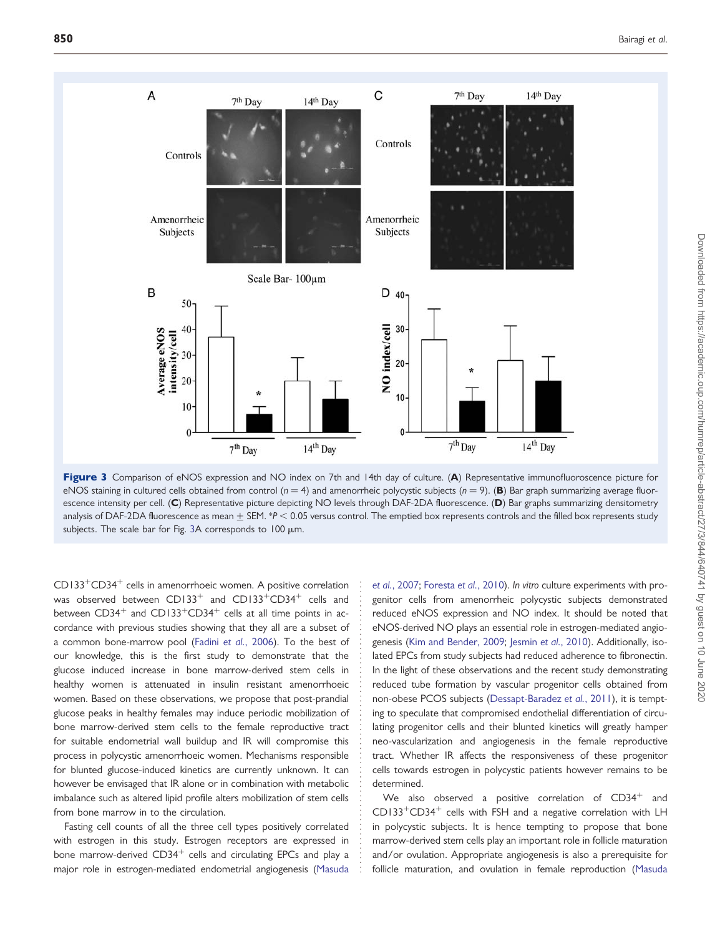<span id="page-6-0"></span>

Figure 3 Comparison of eNOS expression and NO index on 7th and 14th day of culture. (A) Representative immunofluoroscence picture for eNOS staining in cultured cells obtained from control ( $n = 4$ ) and amenorrheic polycystic subjects ( $n = 9$ ). (B) Bar graph summarizing average fluorescence intensity per cell. (C) Representative picture depicting NO levels through DAF-2DA fluorescence. (D) Bar graphs summarizing densitometry analysis of DAF-2DA fluorescence as mean  $\pm$  SEM. \*P < 0.05 versus control. The emptied box represents controls and the filled box represents study subjects. The scale bar for Fig. 3A corresponds to  $100 \mu m$ .

CD133+CD34+ cells in amenorrhoeic women. A positive correlation was observed between  $CD133^+$  and  $CD133^+CD34^+$  cells and between  $CD34^+$  and  $CD133^+CD34^+$  cells at all time points in accordance with previous studies showing that they all are a subset of a common bone-marrow pool (Fadini et al.[, 2006\)](#page-8-0). To the best of our knowledge, this is the first study to demonstrate that the glucose induced increase in bone marrow-derived stem cells in healthy women is attenuated in insulin resistant amenorrhoeic women. Based on these observations, we propose that post-prandial glucose peaks in healthy females may induce periodic mobilization of bone marrow-derived stem cells to the female reproductive tract for suitable endometrial wall buildup and IR will compromise this process in polycystic amenorrhoeic women. Mechanisms responsible for blunted glucose-induced kinetics are currently unknown. It can however be envisaged that IR alone or in combination with metabolic imbalance such as altered lipid profile alters mobilization of stem cells from bone marrow in to the circulation.

Fasting cell counts of all the three cell types positively correlated with estrogen in this study. Estrogen receptors are expressed in bone marrow-derived  $CD34<sup>+</sup>$  cells and circulating EPCs and play a major role in estrogen-mediated endometrial angiogenesis ([Masuda](#page-8-0)

et al.[, 2007;](#page-8-0) [Foresta](#page-8-0) et al., 2010). In vitro culture experiments with progenitor cells from amenorrheic polycystic subjects demonstrated reduced eNOS expression and NO index. It should be noted that eNOS-derived NO plays an essential role in estrogen-mediated angio-genesis [\(Kim and Bender, 2009](#page-8-0); Jesmin et al.[, 2010\)](#page-8-0). Additionally, isolated EPCs from study subjects had reduced adherence to fibronectin. In the light of these observations and the recent study demonstrating reduced tube formation by vascular progenitor cells obtained from non-obese PCOS subjects [\(Dessapt-Baradez](#page-8-0) et al., 2011), it is tempting to speculate that compromised endothelial differentiation of circulating progenitor cells and their blunted kinetics will greatly hamper neo-vascularization and angiogenesis in the female reproductive tract. Whether IR affects the responsiveness of these progenitor cells towards estrogen in polycystic patients however remains to be determined.

We also observed a positive correlation of  $CD34<sup>+</sup>$  and  $CD133^+CD34^+$  cells with FSH and a negative correlation with LH in polycystic subjects. It is hence tempting to propose that bone marrow-derived stem cells play an important role in follicle maturation and/or ovulation. Appropriate angiogenesis is also a prerequisite for follicle maturation, and ovulation in female reproduction ([Masuda](#page-8-0)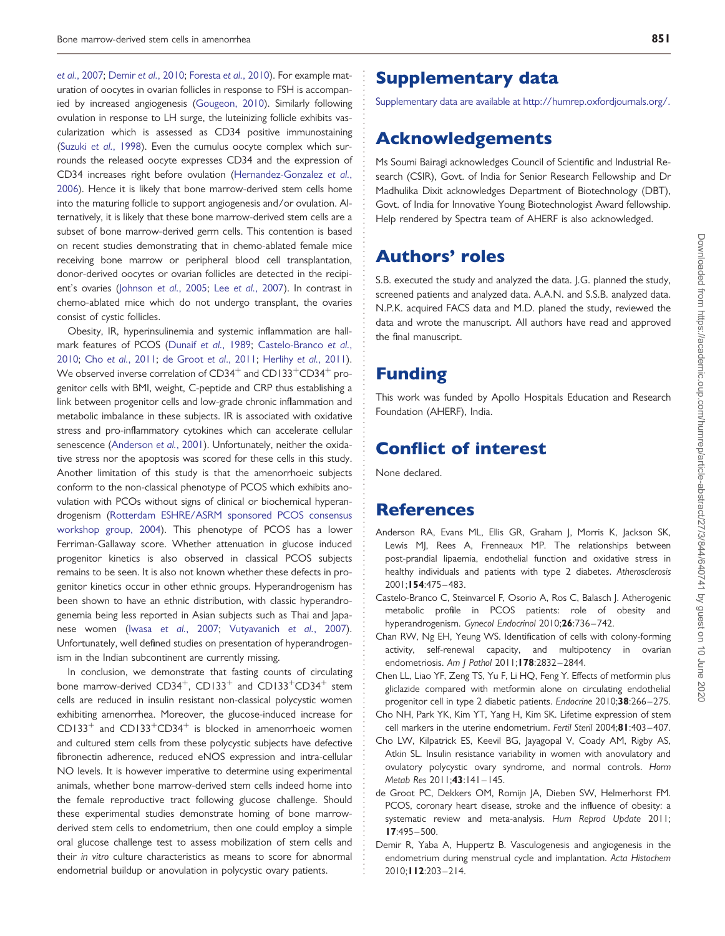<span id="page-7-0"></span>et al.[, 2007](#page-8-0); Demir et al., 2010; [Foresta](#page-8-0) et al., 2010). For example maturation of oocytes in ovarian follicles in response to FSH is accompanied by increased angiogenesis [\(Gougeon, 2010](#page-8-0)). Similarly following ovulation in response to LH surge, the luteinizing follicle exhibits vascularization which is assessed as CD34 positive immunostaining (Suzuki et al.[, 1998](#page-9-0)). Even the cumulus oocyte complex which surrounds the released oocyte expresses CD34 and the expression of CD34 increases right before ovulation ([Hernandez-Gonzalez](#page-8-0) et al., [2006](#page-8-0)). Hence it is likely that bone marrow-derived stem cells home into the maturing follicle to support angiogenesis and/or ovulation. Alternatively, it is likely that these bone marrow-derived stem cells are a subset of bone marrow-derived germ cells. This contention is based on recent studies demonstrating that in chemo-ablated female mice receiving bone marrow or peripheral blood cell transplantation, donor-derived oocytes or ovarian follicles are detected in the recipient's ovaries ([Johnson](#page-8-0) et al., 2005; Lee et al.[, 2007\)](#page-8-0). In contrast in chemo-ablated mice which do not undergo transplant, the ovaries consist of cystic follicles.

Obesity, IR, hyperinsulinemia and systemic inflammation are hallmark features of PCOS (Dunaif et al.[, 1989](#page-8-0); Castelo-Branco et al., 2010; Cho et al., 2011; de Groot et al., 2011; [Herlihy](#page-8-0) et al., 2011). We observed inverse correlation of  $CD34^+$  and  $CD133^+CD34^+$  progenitor cells with BMI, weight, C-peptide and CRP thus establishing a link between progenitor cells and low-grade chronic inflammation and metabolic imbalance in these subjects. IR is associated with oxidative stress and pro-inflammatory cytokines which can accelerate cellular senescence (Anderson et al., 2001). Unfortunately, neither the oxidative stress nor the apoptosis was scored for these cells in this study. Another limitation of this study is that the amenorrhoeic subjects conform to the non-classical phenotype of PCOS which exhibits anovulation with PCOs without signs of clinical or biochemical hyperandrogenism ([Rotterdam ESHRE/ASRM sponsored PCOS consensus](#page-9-0) [workshop group, 2004\)](#page-9-0). This phenotype of PCOS has a lower Ferriman-Gallaway score. Whether attenuation in glucose induced progenitor kinetics is also observed in classical PCOS subjects remains to be seen. It is also not known whether these defects in progenitor kinetics occur in other ethnic groups. Hyperandrogenism has been shown to have an ethnic distribution, with classic hyperandrogenemia being less reported in Asian subjects such as Thai and Japanese women (Iwasa et al.[, 2007;](#page-8-0) [Vutyavanich](#page-9-0) et al., 2007). Unfortunately, well defined studies on presentation of hyperandrogenism in the Indian subcontinent are currently missing.

In conclusion, we demonstrate that fasting counts of circulating bone marrow-derived  $CD34^+$ ,  $CD133^+$  and  $CD133^+CD34^+$  stem cells are reduced in insulin resistant non-classical polycystic women exhibiting amenorrhea. Moreover, the glucose-induced increase for  $CD133<sup>+</sup>$  and  $CD133<sup>+</sup>CD34<sup>+</sup>$  is blocked in amenorrhoeic women and cultured stem cells from these polycystic subjects have defective fibronectin adherence, reduced eNOS expression and intra-cellular NO levels. It is however imperative to determine using experimental animals, whether bone marrow-derived stem cells indeed home into the female reproductive tract following glucose challenge. Should these experimental studies demonstrate homing of bone marrowderived stem cells to endometrium, then one could employ a simple oral glucose challenge test to assess mobilization of stem cells and their in vitro culture characteristics as means to score for abnormal endometrial buildup or anovulation in polycystic ovary patients.

# Supplementary data

[Supplementary data are available at http://humrep.oxfordjournals.org/.](http://humrep.oxfordjournals.org/lookup/suppl/doi:10.1093/humrep/der457/-/DC1)

# Acknowledgements

Ms Soumi Bairagi acknowledges Council of Scientific and Industrial Research (CSIR), Govt. of India for Senior Research Fellowship and Dr Madhulika Dixit acknowledges Department of Biotechnology (DBT), Govt. of India for Innovative Young Biotechnologist Award fellowship. Help rendered by Spectra team of AHERF is also acknowledged.

# Authors' roles

S.B. executed the study and analyzed the data. J.G. planned the study, screened patients and analyzed data. A.A.N. and S.S.B. analyzed data. N.P.K. acquired FACS data and M.D. planed the study, reviewed the data and wrote the manuscript. All authors have read and approved the final manuscript.

# Funding

This work was funded by Apollo Hospitals Education and Research Foundation (AHERF), India.

# Conflict of interest

None declared.

## **References**

- Anderson RA, Evans ML, Ellis GR, Graham J, Morris K, Jackson SK, Lewis MJ, Rees A, Frenneaux MP. The relationships between post-prandial lipaemia, endothelial function and oxidative stress in healthy individuals and patients with type 2 diabetes. Atherosclerosis 2001;154:475 – 483.
- Castelo-Branco C, Steinvarcel F, Osorio A, Ros C, Balasch J. Atherogenic metabolic profile in PCOS patients: role of obesity and hyperandrogenism. Gynecol Endocrinol 2010;26:736-742.
- Chan RW, Ng EH, Yeung WS. Identification of cells with colony-forming activity, self-renewal capacity, and multipotency in ovarian endometriosis. Am J Pathol 2011;178:2832-2844.
- Chen LL, Liao YF, Zeng TS, Yu F, Li HQ, Feng Y. Effects of metformin plus gliclazide compared with metformin alone on circulating endothelial progenitor cell in type 2 diabetic patients. Endocrine 2010;38:266– 275.
- Cho NH, Park YK, Kim YT, Yang H, Kim SK. Lifetime expression of stem cell markers in the uterine endometrium. Fertil Steril 2004;81:403-407.
- Cho LW, Kilpatrick ES, Keevil BG, Jayagopal V, Coady AM, Rigby AS, Atkin SL. Insulin resistance variability in women with anovulatory and ovulatory polycystic ovary syndrome, and normal controls. Horm Metab Res 2011;43:141-145.
- de Groot PC, Dekkers OM, Romijn JA, Dieben SW, Helmerhorst FM. PCOS, coronary heart disease, stroke and the influence of obesity: a systematic review and meta-analysis. Hum Reprod Update 2011; 17:495– 500.
- Demir R, Yaba A, Huppertz B. Vasculogenesis and angiogenesis in the endometrium during menstrual cycle and implantation. Acta Histochem 2010;112:203 – 214.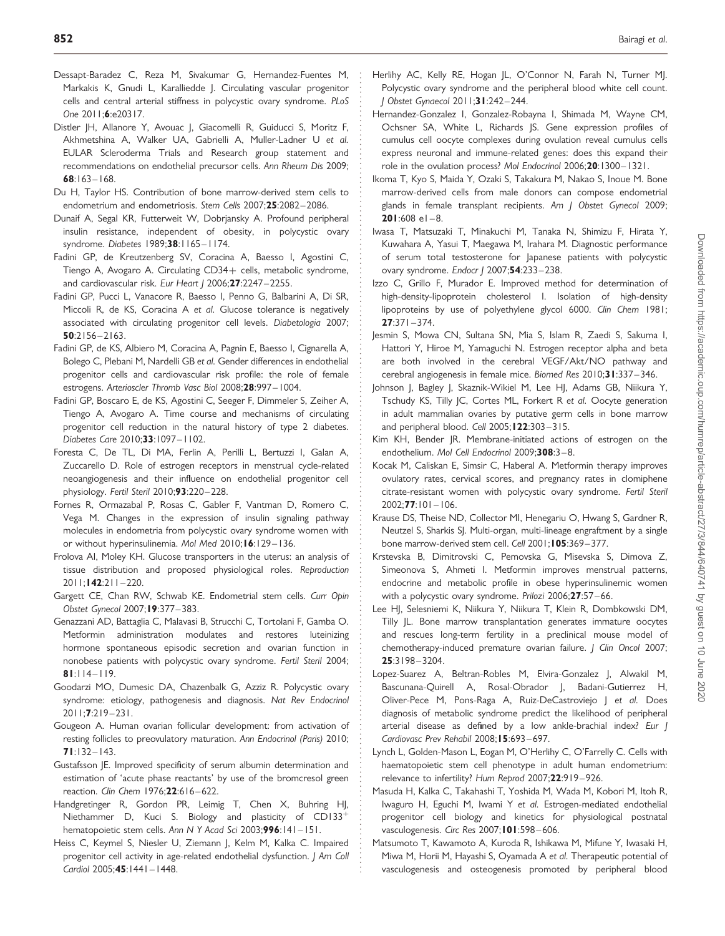- <span id="page-8-0"></span>Dessapt-Baradez C, Reza M, Sivakumar G, Hernandez-Fuentes M, Markakis K, Gnudi L, Karalliedde J. Circulating vascular progenitor cells and central arterial stiffness in polycystic ovary syndrome. PLoS One 2011;6:e20317.
- Distler JH, Allanore Y, Avouac J, Giacomelli R, Guiducci S, Moritz F, Akhmetshina A, Walker UA, Gabrielli A, Muller-Ladner U et al. EULAR Scleroderma Trials and Research group statement and recommendations on endothelial precursor cells. Ann Rheum Dis 2009; 68:163 – 168.
- Du H, Taylor HS. Contribution of bone marrow-derived stem cells to endometrium and endometriosis. Stem Cells 2007;25:2082-2086.
- Dunaif A, Segal KR, Futterweit W, Dobrjansky A. Profound peripheral insulin resistance, independent of obesity, in polycystic ovary syndrome. Diabetes 1989;38:1165-1174.
- Fadini GP, de Kreutzenberg SV, Coracina A, Baesso I, Agostini C, Tiengo A, Avogaro A. Circulating CD34+ cells, metabolic syndrome, and cardiovascular risk. Eur Heart | 2006;27:2247-2255.
- Fadini GP, Pucci L, Vanacore R, Baesso I, Penno G, Balbarini A, Di SR, Miccoli R, de KS, Coracina A et al. Glucose tolerance is negatively associated with circulating progenitor cell levels. Diabetologia 2007; 50:2156 – 2163.
- Fadini GP, de KS, Albiero M, Coracina A, Pagnin E, Baesso I, Cignarella A, Bolego C, Plebani M, Nardelli GB et al. Gender differences in endothelial progenitor cells and cardiovascular risk profile: the role of female estrogens. Arterioscler Thromb Vasc Biol 2008;28:997-1004.
- Fadini GP, Boscaro E, de KS, Agostini C, Seeger F, Dimmeler S, Zeiher A, Tiengo A, Avogaro A. Time course and mechanisms of circulating progenitor cell reduction in the natural history of type 2 diabetes. Diabetes Care 2010;33:1097-1102.
- Foresta C, De TL, Di MA, Ferlin A, Perilli L, Bertuzzi I, Galan A, Zuccarello D. Role of estrogen receptors in menstrual cycle-related neoangiogenesis and their influence on endothelial progenitor cell physiology. Fertil Steril 2010;93:220-228.
- Fornes R, Ormazabal P, Rosas C, Gabler F, Vantman D, Romero C, Vega M. Changes in the expression of insulin signaling pathway molecules in endometria from polycystic ovary syndrome women with or without hyperinsulinemia. Mol Med 2010;16:129-136.
- Frolova AI, Moley KH. Glucose transporters in the uterus: an analysis of tissue distribution and proposed physiological roles. Reproduction 2011;142:211 – 220.
- Gargett CE, Chan RW, Schwab KE. Endometrial stem cells. Curr Opin Obstet Gynecol 2007;19:377– 383.
- Genazzani AD, Battaglia C, Malavasi B, Strucchi C, Tortolani F, Gamba O. Metformin administration modulates and restores luteinizing hormone spontaneous episodic secretion and ovarian function in nonobese patients with polycystic ovary syndrome. Fertil Steril 2004;  $81:114 - 119.$
- Goodarzi MO, Dumesic DA, Chazenbalk G, Azziz R. Polycystic ovary syndrome: etiology, pathogenesis and diagnosis. Nat Rev Endocrinol 2011;7:219 – 231.
- Gougeon A. Human ovarian follicular development: from activation of resting follicles to preovulatory maturation. Ann Endocrinol (Paris) 2010;  $71:132 - 143.$
- Gustafsson JE. Improved specificity of serum albumin determination and estimation of 'acute phase reactants' by use of the bromcresol green reaction. Clin Chem 1976;22:616-622.
- Handgretinger R, Gordon PR, Leimig T, Chen X, Buhring HJ, Niethammer D, Kuci S. Biology and plasticity of CD133+ hematopoietic stem cells. Ann N Y Acad Sci 2003;996:141-151.
- Heiss C, Keymel S, Niesler U, Ziemann J, Kelm M, Kalka C. Impaired progenitor cell activity in age-related endothelial dysfunction. J Am Coll Cardiol 2005;45:1441-1448.
- Herlihy AC, Kelly RE, Hogan IL, O'Connor N, Farah N, Turner MI, Polycystic ovary syndrome and the peripheral blood white cell count. J Obstet Gynaecol 2011;31:242-244.
- Hernandez-Gonzalez I, Gonzalez-Robayna I, Shimada M, Wayne CM, Ochsner SA, White L, Richards JS. Gene expression profiles of cumulus cell oocyte complexes during ovulation reveal cumulus cells express neuronal and immune-related genes: does this expand their role in the ovulation process? Mol Endocrinol 2006;20:1300-1321.
- Ikoma T, Kyo S, Maida Y, Ozaki S, Takakura M, Nakao S, Inoue M. Bone marrow-derived cells from male donors can compose endometrial glands in female transplant recipients. Am J Obstet Gynecol 2009;  $201:608$  el -8.
- Iwasa T, Matsuzaki T, Minakuchi M, Tanaka N, Shimizu F, Hirata Y, Kuwahara A, Yasui T, Maegawa M, Irahara M. Diagnostic performance of serum total testosterone for Japanese patients with polycystic ovary syndrome. Endocr J 2007;54:233-238.
- Izzo C, Grillo F, Murador E. Improved method for determination of high-density-lipoprotein cholesterol I. Isolation of high-density lipoproteins by use of polyethylene glycol 6000. Clin Chem 1981;  $27:371 - 374.$
- Jesmin S, Mowa CN, Sultana SN, Mia S, Islam R, Zaedi S, Sakuma I, Hattori Y, Hiroe M, Yamaguchi N. Estrogen receptor alpha and beta are both involved in the cerebral VEGF/Akt/NO pathway and cerebral angiogenesis in female mice. Biomed Res 2010;31:337-346.
- Johnson J, Bagley J, Skaznik-Wikiel M, Lee HJ, Adams GB, Niikura Y, Tschudy KS, Tilly JC, Cortes ML, Forkert R et al. Oocyte generation in adult mammalian ovaries by putative germ cells in bone marrow and peripheral blood. Cell 2005;122:303 – 315.
- Kim KH, Bender JR. Membrane-initiated actions of estrogen on the endothelium. Mol Cell Endocrinol 2009;308:3-8.
- Kocak M, Caliskan E, Simsir C, Haberal A. Metformin therapy improves ovulatory rates, cervical scores, and pregnancy rates in clomiphene citrate-resistant women with polycystic ovary syndrome. Fertil Steril 2002;77:101 – 106.
- Krause DS, Theise ND, Collector MI, Henegariu O, Hwang S, Gardner R, Neutzel S, Sharkis SJ. Multi-organ, multi-lineage engraftment by a single bone marrow-derived stem cell. Cell 2001;105:369-377.
- Krstevska B, Dimitrovski C, Pemovska G, Misevska S, Dimova Z, Simeonova S, Ahmeti I. Metformin improves menstrual patterns, endocrine and metabolic profile in obese hyperinsulinemic women with a polycystic ovary syndrome. Prilozi 2006;27:57-66.
- Lee HJ, Selesniemi K, Niikura Y, Niikura T, Klein R, Dombkowski DM, Tilly JL. Bone marrow transplantation generates immature oocytes and rescues long-term fertility in a preclinical mouse model of chemotherapy-induced premature ovarian failure. J Clin Oncol 2007; 25:3198 – 3204.
- Lopez-Suarez A, Beltran-Robles M, Elvira-Gonzalez J, Alwakil M, Bascunana-Quirell A, Rosal-Obrador J, Badani-Gutierrez H, Oliver-Pece M, Pons-Raga A, Ruiz-DeCastroviejo J et al. Does diagnosis of metabolic syndrome predict the likelihood of peripheral arterial disease as defined by a low ankle-brachial index? Eur J Cardiovasc Prev Rehabil 2008; **15**:693-697.
- Lynch L, Golden-Mason L, Eogan M, O'Herlihy C, O'Farrelly C. Cells with haematopoietic stem cell phenotype in adult human endometrium: relevance to infertility? Hum Reprod 2007;22:919-926.
- Masuda H, Kalka C, Takahashi T, Yoshida M, Wada M, Kobori M, Itoh R, Iwaguro H, Eguchi M, Iwami Y et al. Estrogen-mediated endothelial progenitor cell biology and kinetics for physiological postnatal vasculogenesis. Circ Res 2007;101:598-606.
- Matsumoto T, Kawamoto A, Kuroda R, Ishikawa M, Mifune Y, Iwasaki H, Miwa M, Horii M, Hayashi S, Oyamada A et al. Therapeutic potential of vasculogenesis and osteogenesis promoted by peripheral blood